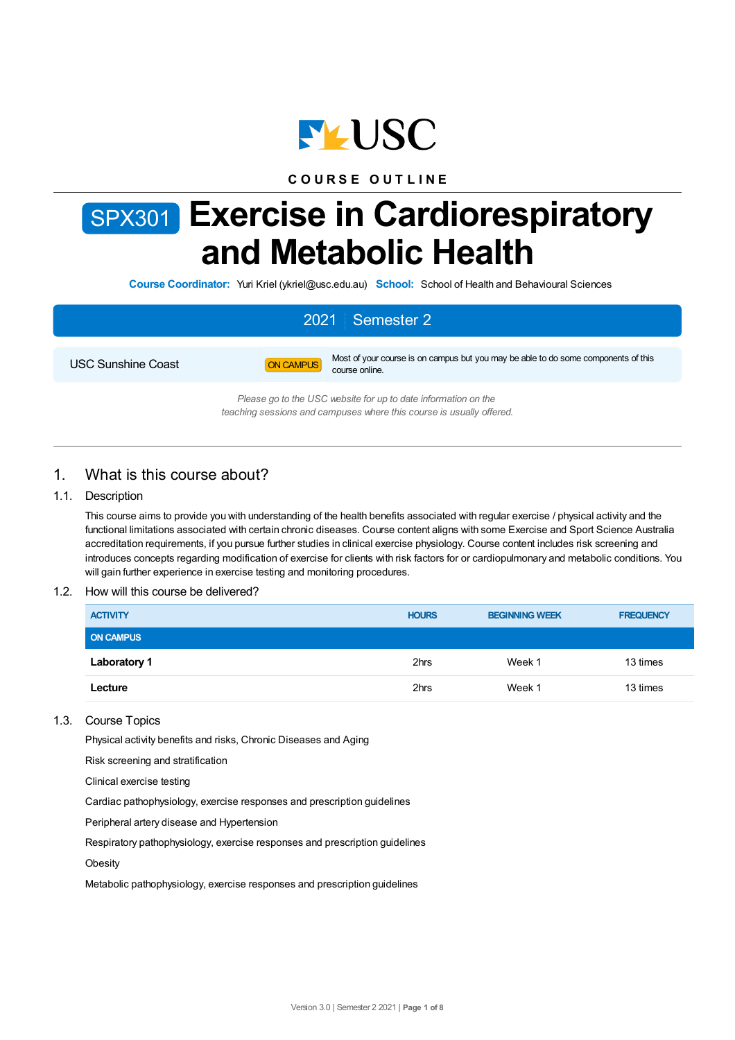

## **C O U R S E O U T L I N E**

# SPX301 **Exercise in Cardiorespiratory and Metabolic Health**

**Course Coordinator:** Yuri Kriel (ykriel@usc.edu.au) **School:** School of Health and Behavioural Sciences

# 2021 Semester 2



USC Sunshine Coast **ON CAMPUS** Most of your course is on campus but you may be able to do some components of this course online.

> *Please go to the USC website for up to date information on the teaching sessions and campuses where this course is usually offered.*

# 1. What is this course about?

#### 1.1. Description

This course aims to provide you with understanding of the health benefits associated with regular exercise / physical activity and the functional limitations associated with certain chronic diseases. Course content aligns with some Exercise and Sport Science Australia accreditation requirements, if you pursue further studies in clinical exercise physiology. Course content includes risk screening and introduces concepts regarding modification of exercise for clients with risk factors for or cardiopulmonary and metabolic conditions. You will gain further experience in exercise testing and monitoring procedures.

#### 1.2. How will this course be delivered?

| <b>ACTIVITY</b>     | <b>HOURS</b> | <b>BEGINNING WEEK</b> | <b>FREQUENCY</b> |
|---------------------|--------------|-----------------------|------------------|
| <b>ON CAMPUS</b>    |              |                       |                  |
| <b>Laboratory 1</b> | 2hrs         | Week 1                | 13 times         |
| Lecture             | 2hrs         | Week 1                | 13 times         |

#### 1.3. Course Topics

Physical activity benefits and risks, Chronic Diseases and Aging

Risk screening and stratification

Clinical exercise testing

Cardiac pathophysiology, exercise responses and prescription guidelines

Peripheral artery disease and Hypertension

Respiratory pathophysiology, exercise responses and prescription guidelines

**Obesity** 

Metabolic pathophysiology, exercise responses and prescription guidelines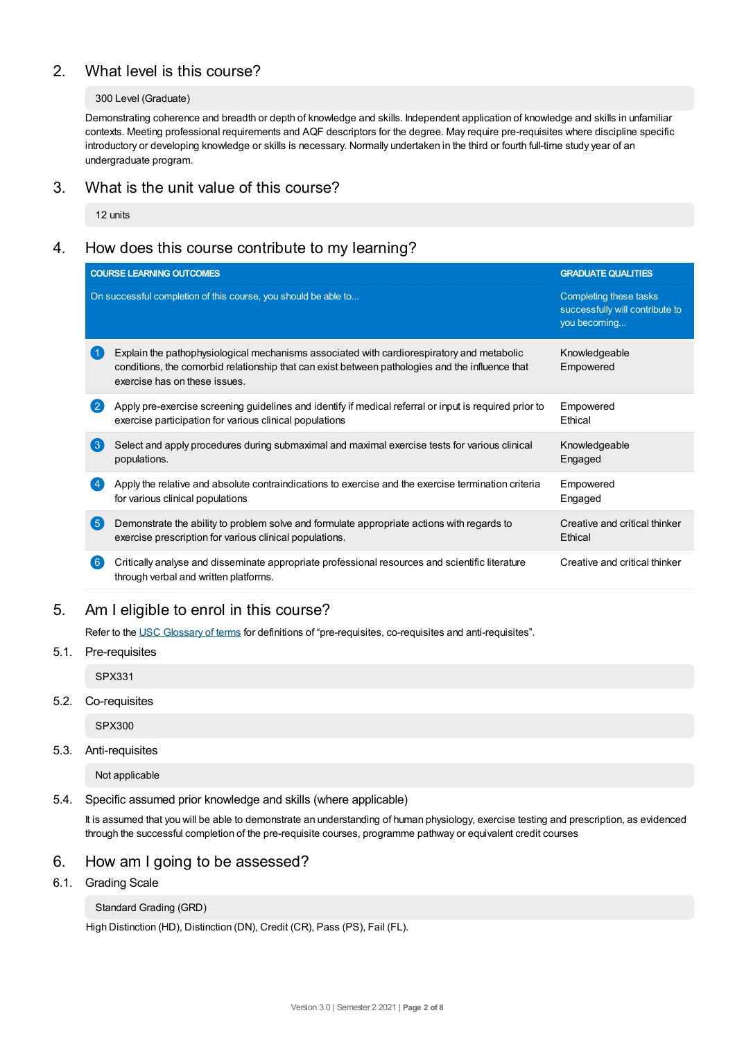# 2. What level is this course?

#### 300 Level (Graduate)

Demonstrating coherence and breadth or depth of knowledge and skills. Independent application of knowledge and skills in unfamiliar contexts. Meeting professional requirements and AQF descriptors for the degree. May require pre-requisites where discipline specific introductory or developing knowledge or skills is necessary. Normally undertaken in the third or fourth full-time study year of an undergraduate program.

## 3. What is the unit value of this course?

12 units

# 4. How does this course contribute to my learning?

|                  | <b>COURSE LEARNING OUTCOMES</b>                                                                                                                                                                                               | <b>GRADUATE QUALITIES</b>                                                 |
|------------------|-------------------------------------------------------------------------------------------------------------------------------------------------------------------------------------------------------------------------------|---------------------------------------------------------------------------|
|                  | On successful completion of this course, you should be able to                                                                                                                                                                | Completing these tasks<br>successfully will contribute to<br>you becoming |
|                  | Explain the pathophysiological mechanisms associated with cardiorespiratory and metabolic<br>conditions, the comorbid relationship that can exist between pathologies and the influence that<br>exercise has on these issues. | Knowledgeable<br>Empowered                                                |
| $\mathbf{2}$     | Apply pre-exercise screening guidelines and identify if medical referral or input is required prior to<br>exercise participation for various clinical populations                                                             | Empowered<br>Ethical                                                      |
| $\left(3\right)$ | Select and apply procedures during submaximal and maximal exercise tests for various clinical<br>populations.                                                                                                                 | Knowledgeable<br>Engaged                                                  |
|                  | Apply the relative and absolute contraindications to exercise and the exercise termination criteria<br>for various clinical populations                                                                                       | Empowered<br>Engaged                                                      |
| 6                | Demonstrate the ability to problem solve and formulate appropriate actions with regards to<br>exercise prescription for various clinical populations.                                                                         | Creative and critical thinker<br>Ethical                                  |
| 6 <sup>°</sup>   | Critically analyse and disseminate appropriate professional resources and scientific literature<br>through verbal and written platforms.                                                                                      | Creative and critical thinker                                             |
|                  |                                                                                                                                                                                                                               |                                                                           |

# 5. Am Ieligible to enrol in this course?

Refer to the USC [Glossary](https://www.usc.edu.au/about/policies-and-procedures/glossary-of-terms-for-policy-and-procedures) of terms for definitions of "pre-requisites, co-requisites and anti-requisites".

#### 5.1. Pre-requisites

SPX331

### 5.2. Co-requisites

SPX300

#### 5.3. Anti-requisites

Not applicable

#### 5.4. Specific assumed prior knowledge and skills (where applicable)

It is assumed that you will be able to demonstrate an understanding of human physiology, exercise testing and prescription, as evidenced through the successful completion of the pre-requisite courses, programme pathway or equivalent credit courses

# 6. How am Igoing to be assessed?

6.1. Grading Scale

#### Standard Grading (GRD)

High Distinction (HD), Distinction (DN), Credit (CR), Pass (PS), Fail (FL).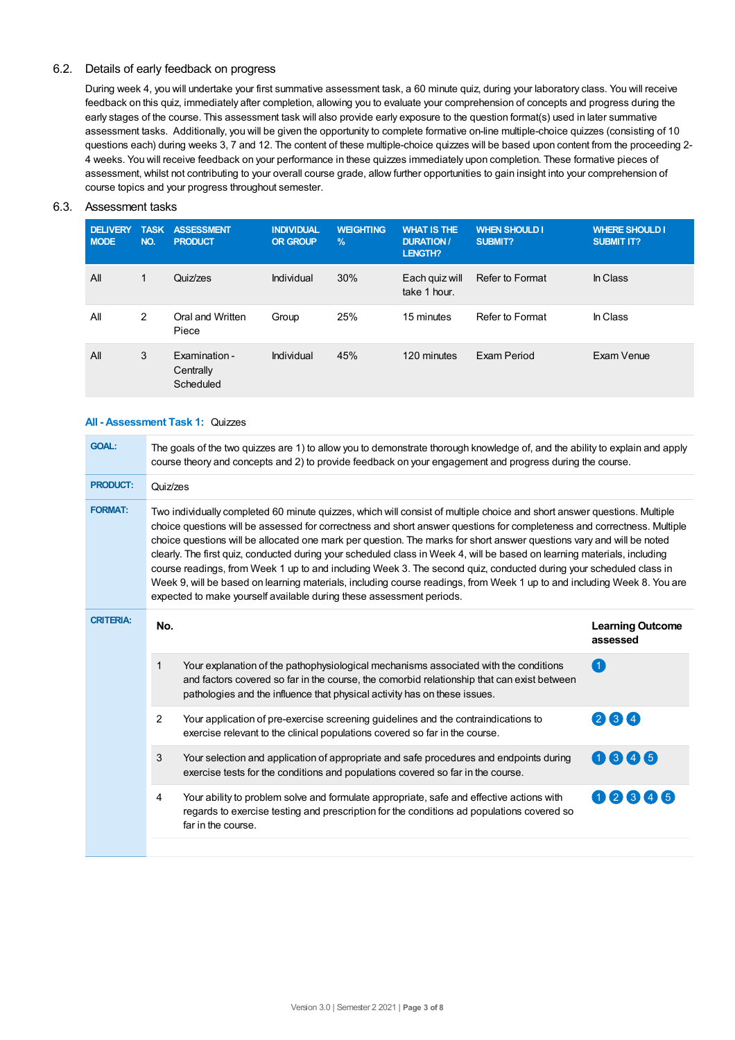#### 6.2. Details of early feedback on progress

During week 4, you will undertake your first summative assessment task, a 60 minute quiz, during your laboratory class. You will receive feedback on this quiz, immediately after completion, allowing you to evaluate your comprehension of concepts and progress during the early stages of the course. This assessment task will also provide early exposure to the question format(s) used in later summative assessment tasks. Additionally, you will be given the opportunity to complete formative on-line multiple-choice quizzes (consisting of 10 questions each) during weeks 3, 7 and 12. The content of these multiple-choice quizzes will be based upon content from the proceeding 2- 4 weeks. You will receive feedback on your performance in these quizzes immediately upon completion. These formative pieces of assessment, whilst not contributing to your overall course grade, allow further opportunities to gain insight into your comprehension of course topics and your progress throughout semester.

#### 6.3. Assessment tasks

| <b>DELIVERY</b><br><b>MODE</b> | <b>TASK</b><br>NO. | <b>ASSESSMENT</b><br><b>PRODUCT</b>     | <b>INDIVIDUAL</b><br><b>OR GROUP</b> | <b>WEIGHTING</b><br>$\frac{9}{6}$ | <b>WHAT IS THE</b><br><b>DURATION/</b><br><b>LENGTH?</b> | <b>WHEN SHOULD I</b><br>SUBMIT? | <b>WHERE SHOULD I</b><br><b>SUBMIT IT?</b> |
|--------------------------------|--------------------|-----------------------------------------|--------------------------------------|-----------------------------------|----------------------------------------------------------|---------------------------------|--------------------------------------------|
| All                            | 1                  | Quiz/zes                                | Individual                           | 30%                               | Each quiz will<br>take 1 hour.                           | <b>Refer to Format</b>          | In Class                                   |
| All                            | 2                  | Oral and Written<br>Piece               | Group                                | 25%                               | 15 minutes                                               | Refer to Format                 | In Class                                   |
| All                            | 3                  | Examination -<br>Centrally<br>Scheduled | Individual                           | 45%                               | 120 minutes                                              | Exam Period                     | Exam Venue                                 |

#### **All - Assessment Task 1:** Quizzes

| <b>GOAL:</b>     | The goals of the two quizzes are 1) to allow you to demonstrate thorough knowledge of, and the ability to explain and apply<br>course theory and concepts and 2) to provide feedback on your engagement and progress during the course. |                                                                                                                                                                                                                                                                                                                                                                                                                                                                                                                                                                                                                                                                                                                                                                                                                                   |                                     |  |  |  |  |
|------------------|-----------------------------------------------------------------------------------------------------------------------------------------------------------------------------------------------------------------------------------------|-----------------------------------------------------------------------------------------------------------------------------------------------------------------------------------------------------------------------------------------------------------------------------------------------------------------------------------------------------------------------------------------------------------------------------------------------------------------------------------------------------------------------------------------------------------------------------------------------------------------------------------------------------------------------------------------------------------------------------------------------------------------------------------------------------------------------------------|-------------------------------------|--|--|--|--|
| <b>PRODUCT:</b>  | Quiz/zes                                                                                                                                                                                                                                |                                                                                                                                                                                                                                                                                                                                                                                                                                                                                                                                                                                                                                                                                                                                                                                                                                   |                                     |  |  |  |  |
| <b>FORMAT:</b>   |                                                                                                                                                                                                                                         | Two individually completed 60 minute quizzes, which will consist of multiple choice and short answer questions. Multiple<br>choice questions will be assessed for correctness and short answer questions for completeness and correctness. Multiple<br>choice questions will be allocated one mark per question. The marks for short answer questions vary and will be noted<br>clearly. The first quiz, conducted during your scheduled class in Week 4, will be based on learning materials, including<br>course readings, from Week 1 up to and including Week 3. The second quiz, conducted during your scheduled class in<br>Week 9, will be based on learning materials, including course readings, from Week 1 up to and including Week 8. You are<br>expected to make yourself available during these assessment periods. |                                     |  |  |  |  |
| <b>CRITERIA:</b> | No.                                                                                                                                                                                                                                     |                                                                                                                                                                                                                                                                                                                                                                                                                                                                                                                                                                                                                                                                                                                                                                                                                                   | <b>Learning Outcome</b><br>assessed |  |  |  |  |
|                  | 1                                                                                                                                                                                                                                       | Your explanation of the pathophysiological mechanisms associated with the conditions<br>and factors covered so far in the course, the comorbid relationship that can exist between<br>pathologies and the influence that physical activity has on these issues.                                                                                                                                                                                                                                                                                                                                                                                                                                                                                                                                                                   | $\Box$                              |  |  |  |  |
|                  | $\overline{2}$                                                                                                                                                                                                                          | Your application of pre-exercise screening guidelines and the contraindications to<br>exercise relevant to the clinical populations covered so far in the course.                                                                                                                                                                                                                                                                                                                                                                                                                                                                                                                                                                                                                                                                 | 264                                 |  |  |  |  |
|                  | 3                                                                                                                                                                                                                                       | Your selection and application of appropriate and safe procedures and endpoints during<br>exercise tests for the conditions and populations covered so far in the course.                                                                                                                                                                                                                                                                                                                                                                                                                                                                                                                                                                                                                                                         | 0006                                |  |  |  |  |
|                  | 4                                                                                                                                                                                                                                       | Your ability to problem solve and formulate appropriate, safe and effective actions with<br>regards to exercise testing and prescription for the conditions ad populations covered so<br>far in the course.                                                                                                                                                                                                                                                                                                                                                                                                                                                                                                                                                                                                                       | 00606                               |  |  |  |  |
|                  |                                                                                                                                                                                                                                         |                                                                                                                                                                                                                                                                                                                                                                                                                                                                                                                                                                                                                                                                                                                                                                                                                                   |                                     |  |  |  |  |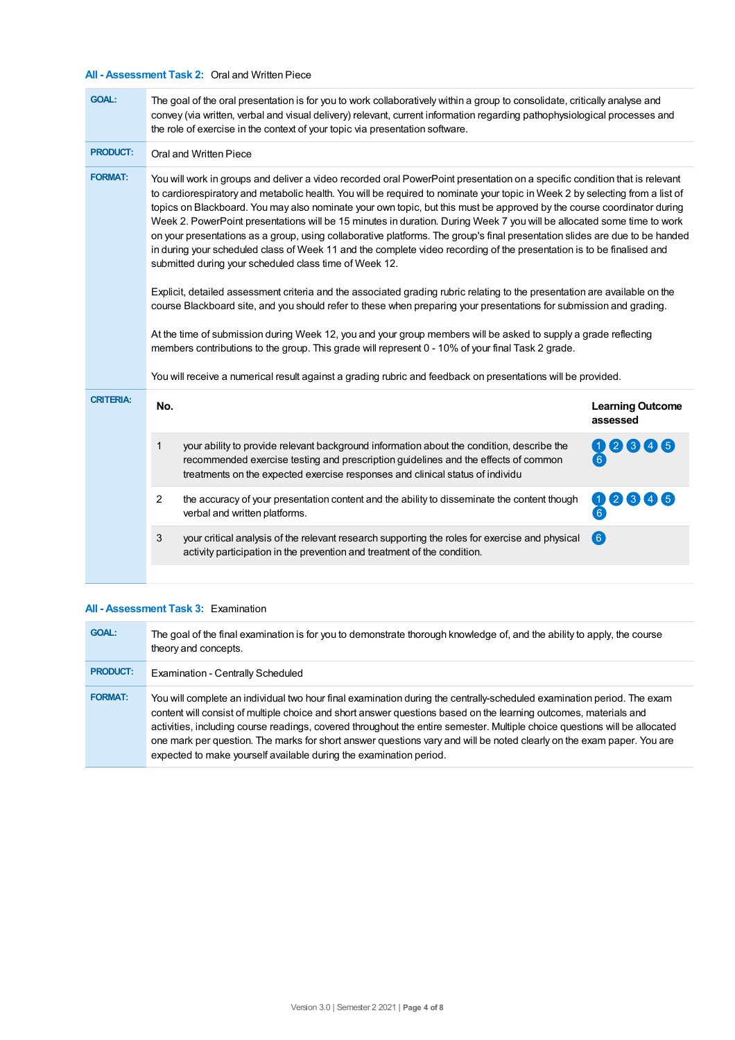## **All - Assessment Task 2:** Oral and Written Piece

| <b>GOAL:</b>     | The goal of the oral presentation is for you to work collaboratively within a group to consolidate, critically analyse and<br>convey (via written, verbal and visual delivery) relevant, current information regarding pathophysiological processes and<br>the role of exercise in the context of your topic via presentation software.                                                                                                                                                                                                                                                                                                                                                                                                                                                                                                                                                                                                                                                                                                                                                                                                                                                                                                                                                                                                                                                                                       |                                                                                                                                                                                                                                                                  |                                     |  |  |  |
|------------------|-------------------------------------------------------------------------------------------------------------------------------------------------------------------------------------------------------------------------------------------------------------------------------------------------------------------------------------------------------------------------------------------------------------------------------------------------------------------------------------------------------------------------------------------------------------------------------------------------------------------------------------------------------------------------------------------------------------------------------------------------------------------------------------------------------------------------------------------------------------------------------------------------------------------------------------------------------------------------------------------------------------------------------------------------------------------------------------------------------------------------------------------------------------------------------------------------------------------------------------------------------------------------------------------------------------------------------------------------------------------------------------------------------------------------------|------------------------------------------------------------------------------------------------------------------------------------------------------------------------------------------------------------------------------------------------------------------|-------------------------------------|--|--|--|
| <b>PRODUCT:</b>  | Oral and Written Piece                                                                                                                                                                                                                                                                                                                                                                                                                                                                                                                                                                                                                                                                                                                                                                                                                                                                                                                                                                                                                                                                                                                                                                                                                                                                                                                                                                                                        |                                                                                                                                                                                                                                                                  |                                     |  |  |  |
| <b>FORMAT:</b>   | You will work in groups and deliver a video recorded oral PowerPoint presentation on a specific condition that is relevant<br>to cardiorespiratory and metabolic health. You will be required to nominate your topic in Week 2 by selecting from a list of<br>topics on Blackboard. You may also nominate your own topic, but this must be approved by the course coordinator during<br>Week 2. PowerPoint presentations will be 15 minutes in duration. During Week 7 you will be allocated some time to work<br>on your presentations as a group, using collaborative platforms. The group's final presentation slides are due to be handed<br>in during your scheduled class of Week 11 and the complete video recording of the presentation is to be finalised and<br>submitted during your scheduled class time of Week 12.<br>Explicit, detailed assessment criteria and the associated grading rubric relating to the presentation are available on the<br>course Blackboard site, and you should refer to these when preparing your presentations for submission and grading.<br>At the time of submission during Week 12, you and your group members will be asked to supply a grade reflecting<br>members contributions to the group. This grade will represent 0 - 10% of your final Task 2 grade.<br>You will receive a numerical result against a grading rubric and feedback on presentations will be provided. |                                                                                                                                                                                                                                                                  |                                     |  |  |  |
| <b>CRITERIA:</b> | No.                                                                                                                                                                                                                                                                                                                                                                                                                                                                                                                                                                                                                                                                                                                                                                                                                                                                                                                                                                                                                                                                                                                                                                                                                                                                                                                                                                                                                           |                                                                                                                                                                                                                                                                  | <b>Learning Outcome</b><br>assessed |  |  |  |
|                  | 1                                                                                                                                                                                                                                                                                                                                                                                                                                                                                                                                                                                                                                                                                                                                                                                                                                                                                                                                                                                                                                                                                                                                                                                                                                                                                                                                                                                                                             | your ability to provide relevant background information about the condition, describe the<br>recommended exercise testing and prescription guidelines and the effects of common<br>treatments on the expected exercise responses and clinical status of individu |                                     |  |  |  |
|                  | $\overline{2}$                                                                                                                                                                                                                                                                                                                                                                                                                                                                                                                                                                                                                                                                                                                                                                                                                                                                                                                                                                                                                                                                                                                                                                                                                                                                                                                                                                                                                | the accuracy of your presentation content and the ability to disseminate the content though<br>verbal and written platforms.                                                                                                                                     | 6                                   |  |  |  |
|                  | 3                                                                                                                                                                                                                                                                                                                                                                                                                                                                                                                                                                                                                                                                                                                                                                                                                                                                                                                                                                                                                                                                                                                                                                                                                                                                                                                                                                                                                             | your critical analysis of the relevant research supporting the roles for exercise and physical<br>activity participation in the prevention and treatment of the condition.                                                                                       | (6)                                 |  |  |  |
|                  |                                                                                                                                                                                                                                                                                                                                                                                                                                                                                                                                                                                                                                                                                                                                                                                                                                                                                                                                                                                                                                                                                                                                                                                                                                                                                                                                                                                                                               |                                                                                                                                                                                                                                                                  |                                     |  |  |  |

#### **All - Assessment Task 3:** Examination

| <b>GOAL:</b>    | The goal of the final examination is for you to demonstrate thorough knowledge of, and the ability to apply, the course<br>theory and concepts.                                                                                                                                                                                                                                                                                                                                                                                                                         |
|-----------------|-------------------------------------------------------------------------------------------------------------------------------------------------------------------------------------------------------------------------------------------------------------------------------------------------------------------------------------------------------------------------------------------------------------------------------------------------------------------------------------------------------------------------------------------------------------------------|
| <b>PRODUCT:</b> | <b>Examination - Centrally Scheduled</b>                                                                                                                                                                                                                                                                                                                                                                                                                                                                                                                                |
| <b>FORMAT:</b>  | You will complete an individual two hour final examination during the centrally-scheduled examination period. The exam<br>content will consist of multiple choice and short answer questions based on the learning outcomes, materials and<br>activities, including course readings, covered throughout the entire semester. Multiple choice questions will be allocated<br>one mark per question. The marks for short answer questions vary and will be noted clearly on the exam paper. You are<br>expected to make yourself available during the examination period. |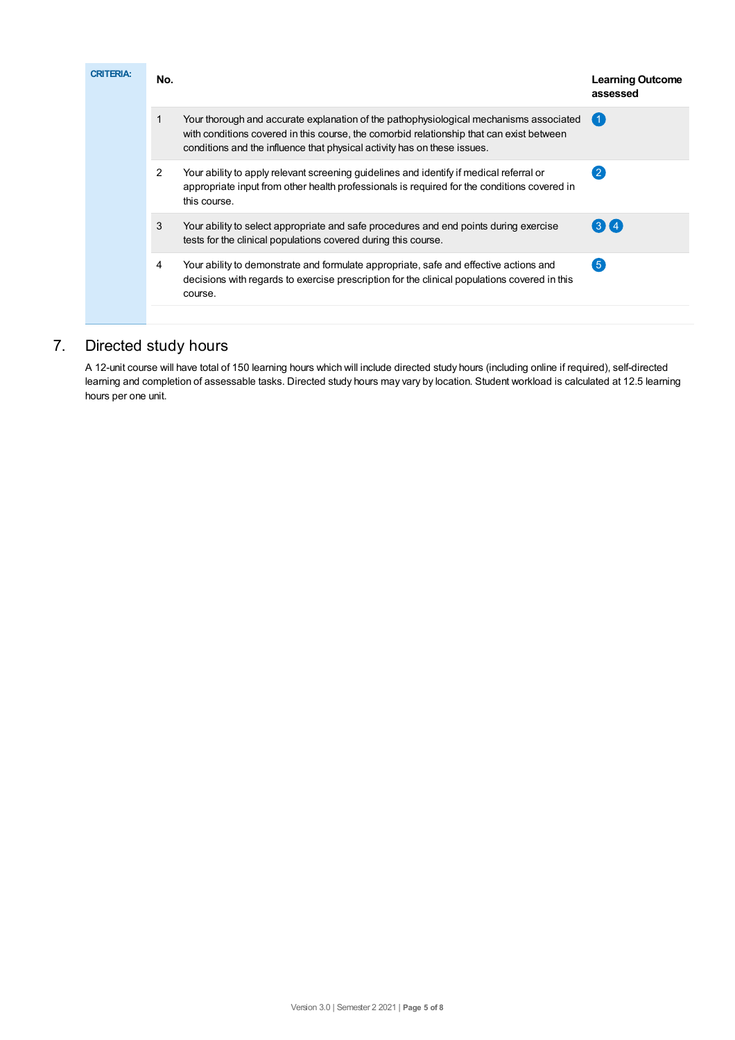| <b>CRITERIA:</b> | No. |                                                                                                                                                                                                                                                                | <b>Learning Outcome</b><br>assessed |
|------------------|-----|----------------------------------------------------------------------------------------------------------------------------------------------------------------------------------------------------------------------------------------------------------------|-------------------------------------|
|                  |     | Your thorough and accurate explanation of the pathophysiological mechanisms associated<br>with conditions covered in this course, the comorbid relationship that can exist between<br>conditions and the influence that physical activity has on these issues. | 【 1                                 |
|                  | 2   | Your ability to apply relevant screening guidelines and identify if medical referral or<br>appropriate input from other health professionals is required for the conditions covered in<br>this course.                                                         | 2                                   |
|                  | 3   | Your ability to select appropriate and safe procedures and end points during exercise<br>tests for the clinical populations covered during this course.                                                                                                        | 314                                 |
|                  | 4   | Your ability to demonstrate and formulate appropriate, safe and effective actions and<br>decisions with regards to exercise prescription for the clinical populations covered in this<br>course.                                                               | $5^{\circ}$                         |
|                  |     |                                                                                                                                                                                                                                                                |                                     |

# 7. Directed study hours

A 12-unit course will have total of 150 learning hours which will include directed study hours (including online if required), self-directed learning and completion of assessable tasks. Directed study hours may vary by location. Student workload is calculated at 12.5 learning hours per one unit.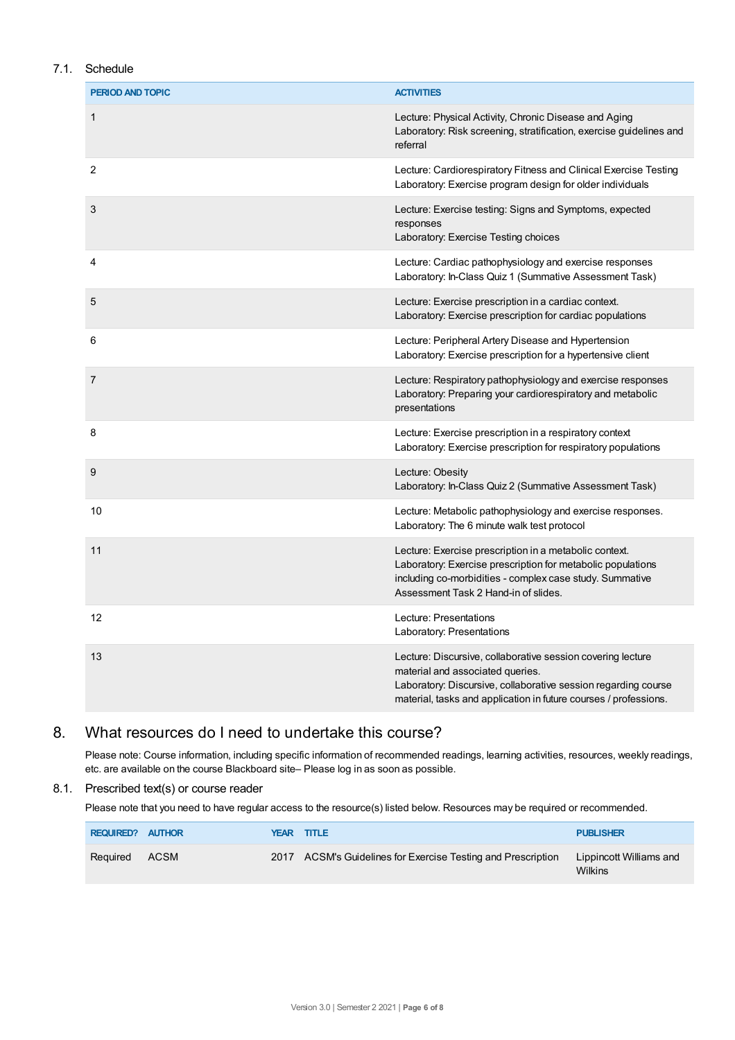## 7.1. Schedule

| PERIOD AND TOPIC | <b>ACTIVITIES</b>                                                                                                                                                                                                                     |
|------------------|---------------------------------------------------------------------------------------------------------------------------------------------------------------------------------------------------------------------------------------|
| 1                | Lecture: Physical Activity, Chronic Disease and Aging<br>Laboratory: Risk screening, stratification, exercise guidelines and<br>referral                                                                                              |
| 2                | Lecture: Cardiorespiratory Fitness and Clinical Exercise Testing<br>Laboratory: Exercise program design for older individuals                                                                                                         |
| 3                | Lecture: Exercise testing: Signs and Symptoms, expected<br>responses<br>Laboratory: Exercise Testing choices                                                                                                                          |
| 4                | Lecture: Cardiac pathophysiology and exercise responses<br>Laboratory: In-Class Quiz 1 (Summative Assessment Task)                                                                                                                    |
| 5                | Lecture: Exercise prescription in a cardiac context.<br>Laboratory: Exercise prescription for cardiac populations                                                                                                                     |
| 6                | Lecture: Peripheral Artery Disease and Hypertension<br>Laboratory: Exercise prescription for a hypertensive client                                                                                                                    |
| 7                | Lecture: Respiratory pathophysiology and exercise responses<br>Laboratory: Preparing your cardiorespiratory and metabolic<br>presentations                                                                                            |
| 8                | Lecture: Exercise prescription in a respiratory context<br>Laboratory: Exercise prescription for respiratory populations                                                                                                              |
| 9                | Lecture: Obesity<br>Laboratory: In-Class Quiz 2 (Summative Assessment Task)                                                                                                                                                           |
| 10               | Lecture: Metabolic pathophysiology and exercise responses.<br>Laboratory: The 6 minute walk test protocol                                                                                                                             |
| 11               | Lecture: Exercise prescription in a metabolic context.<br>Laboratory: Exercise prescription for metabolic populations<br>including co-morbidities - complex case study. Summative<br>Assessment Task 2 Hand-in of slides.             |
| 12               | Lecture: Presentations<br>Laboratory: Presentations                                                                                                                                                                                   |
| 13               | Lecture: Discursive, collaborative session covering lecture<br>material and associated queries.<br>Laboratory: Discursive, collaborative session regarding course<br>material, tasks and application in future courses / professions. |

# 8. What resources do I need to undertake this course?

Please note: Course information, including specific information of recommended readings, learning activities, resources, weekly readings, etc. are available on the course Blackboard site– Please log in as soon as possible.

#### 8.1. Prescribed text(s) or course reader

Please note that you need to have regular access to the resource(s) listed below. Resources may be required or recommended.

| <b>REQUIRED? AUTHOR</b> |      | <b>YEAR TITLE</b>                                            | <b>PUBLISHER</b>                          |
|-------------------------|------|--------------------------------------------------------------|-------------------------------------------|
| Required                | ACSM | 2017 ACSM's Guidelines for Exercise Testing and Prescription | Lippincott Williams and<br><b>Wilkins</b> |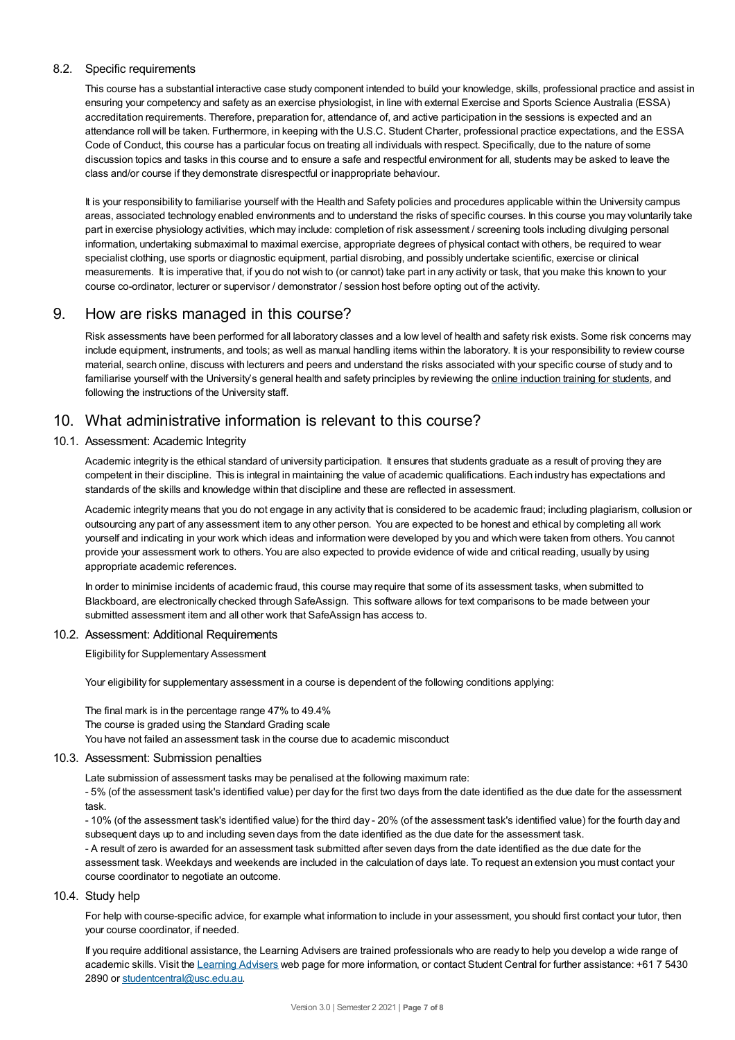#### 8.2. Specific requirements

This course has a substantial interactive case study component intended to build your knowledge, skills, professional practice and assist in ensuring your competency and safety as an exercise physiologist, in line with external Exercise and Sports Science Australia (ESSA) accreditation requirements. Therefore, preparation for, attendance of, and active participation in the sessions is expected and an attendance roll will be taken. Furthermore, in keeping with the U.S.C. Student Charter, professional practice expectations, and the ESSA Code of Conduct, this course has a particular focus on treating all individuals with respect. Specifically, due to the nature of some discussion topics and tasks in this course and to ensure a safe and respectful environment for all, students may be asked to leave the class and/or course if they demonstrate disrespectful or inappropriate behaviour.

It is your responsibility to familiarise yourself with the Health and Safety policies and procedures applicable within the University campus areas, associated technology enabled environments and to understand the risks of specific courses. In this course you may voluntarily take part in exercise physiology activities, which may include: completion of risk assessment / screening tools including divulging personal information, undertaking submaximal to maximal exercise, appropriate degrees of physical contact with others, be required to wear specialist clothing, use sports or diagnostic equipment, partial disrobing, and possibly undertake scientific, exercise or clinical measurements. It is imperative that, if you do not wish to (or cannot) take part in any activity or task, that you make this known to your course co-ordinator, lecturer or supervisor / demonstrator / session host before opting out of the activity.

## 9. How are risks managed in this course?

Risk assessments have been performed for all laboratory classes and a low level of health and safety risk exists. Some risk concerns may include equipment, instruments, and tools; as well as manual handling items within the laboratory. It is your responsibility to review course material, search online, discuss with lecturers and peers and understand the risks associated with your specific course of study and to familiarise yourself with the University's general health and safety principles by reviewing the online [induction](https://online.usc.edu.au/webapps/blackboard/content/listContentEditable.jsp?content_id=_632657_1&course_id=_14432_1) training for students, and following the instructions of the University staff.

# 10. What administrative information is relevant to this course?

#### 10.1. Assessment: Academic Integrity

Academic integrity is the ethical standard of university participation. It ensures that students graduate as a result of proving they are competent in their discipline. This is integral in maintaining the value of academic qualifications. Each industry has expectations and standards of the skills and knowledge within that discipline and these are reflected in assessment.

Academic integrity means that you do not engage in any activity that is considered to be academic fraud; including plagiarism, collusion or outsourcing any part of any assessment item to any other person. You are expected to be honest and ethical by completing all work yourself and indicating in your work which ideas and information were developed by you and which were taken from others. You cannot provide your assessment work to others.You are also expected to provide evidence of wide and critical reading, usually by using appropriate academic references.

In order to minimise incidents of academic fraud, this course may require that some of its assessment tasks, when submitted to Blackboard, are electronically checked through SafeAssign. This software allows for text comparisons to be made between your submitted assessment item and all other work that SafeAssign has access to.

#### 10.2. Assessment: Additional Requirements

Eligibility for Supplementary Assessment

Your eligibility for supplementary assessment in a course is dependent of the following conditions applying:

The final mark is in the percentage range 47% to 49.4% The course is graded using the Standard Grading scale You have not failed an assessment task in the course due to academic misconduct

#### 10.3. Assessment: Submission penalties

Late submission of assessment tasks may be penalised at the following maximum rate:

- 5% (of the assessment task's identified value) per day for the first two days from the date identified as the due date for the assessment task.

- 10% (of the assessment task's identified value) for the third day - 20% (of the assessment task's identified value) for the fourth day and subsequent days up to and including seven days from the date identified as the due date for the assessment task.

- A result of zero is awarded for an assessment task submitted after seven days from the date identified as the due date for the assessment task. Weekdays and weekends are included in the calculation of days late. To request an extension you must contact your course coordinator to negotiate an outcome.

#### 10.4. Study help

For help with course-specific advice, for example what information to include in your assessment, you should first contact your tutor, then your course coordinator, if needed.

If you require additional assistance, the Learning Advisers are trained professionals who are ready to help you develop a wide range of academic skills. Visit the Learning [Advisers](https://www.usc.edu.au/current-students/student-support/academic-and-study-support/learning-advisers) web page for more information, or contact Student Central for further assistance: +61 7 5430 2890 or [studentcentral@usc.edu.au](mailto:studentcentral@usc.edu.au).